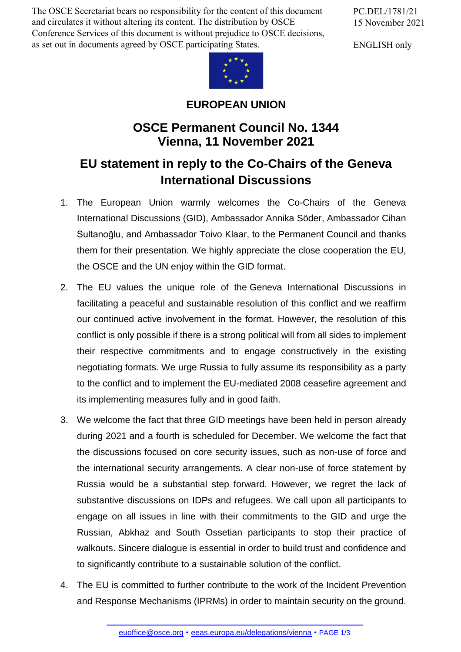The OSCE Secretariat bears no responsibility for the content of this document and circulates it without altering its content. The distribution by OSCE Conference Services of this document is without prejudice to OSCE decisions, as set out in documents agreed by OSCE participating States.

PC.DEL/1781/21 15 November 2021

ENGLISH only



**EUROPEAN UNION**

## **OSCE Permanent Council No. 1344 Vienna, 11 November 2021**

## **EU statement in reply to the Co-Chairs of the Geneva International Discussions**

- 1. The European Union warmly welcomes the Co-Chairs of the Geneva International Discussions (GID), Ambassador Annika Söder, Ambassador Cihan Sultanoğlu, and Ambassador Toivo Klaar, to the Permanent Council and thanks them for their presentation. We highly appreciate the close cooperation the EU, the OSCE and the UN enjoy within the GID format.
- 2. The EU values the unique role of the Geneva International Discussions in facilitating a peaceful and sustainable resolution of this conflict and we reaffirm our continued active involvement in the format. However, the resolution of this conflict is only possible if there is a strong political will from all sides to implement their respective commitments and to engage constructively in the existing negotiating formats. We urge Russia to fully assume its responsibility as a party to the conflict and to implement the EU-mediated 2008 ceasefire agreement and its implementing measures fully and in good faith.
- 3. We welcome the fact that three GID meetings have been held in person already during 2021 and a fourth is scheduled for December. We welcome the fact that the discussions focused on core security issues, such as non-use of force and the international security arrangements. A clear non-use of force statement by Russia would be a substantial step forward. However, we regret the lack of substantive discussions on IDPs and refugees. We call upon all participants to engage on all issues in line with their commitments to the GID and urge the Russian, Abkhaz and South Ossetian participants to stop their practice of walkouts. Sincere dialogue is essential in order to build trust and confidence and to significantly contribute to a sustainable solution of the conflict.
- 4. The EU is committed to further contribute to the work of the Incident Prevention and Response [Mechanism](mailto:euoffice@osce.org)s (IPRMs) in order to [maintain](http://eeas.europa.eu/delegations/vienna) security on the ground.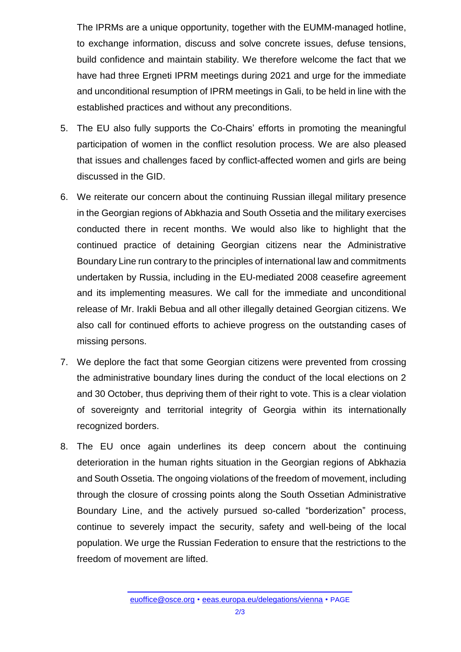The IPRMs are a unique opportunity, together with the EUMM-managed hotline, to exchange information, discuss and solve concrete issues, defuse tensions, build confidence and maintain stability. We therefore welcome the fact that we have had three Ergneti IPRM meetings during 2021 and urge for the immediate and unconditional resumption of IPRM meetings in Gali, to be held in line with the established practices and without any preconditions.

- 5. The EU also fully supports the Co-Chairs' efforts in promoting the meaningful participation of women in the conflict resolution process. We are also pleased that issues and challenges faced by conflict-affected women and girls are being discussed in the GID.
- 6. We reiterate our concern about the continuing Russian illegal military presence in the Georgian regions of Abkhazia and South Ossetia and the military exercises conducted there in recent months. We would also like to highlight that the continued practice of detaining Georgian citizens near the Administrative Boundary Line run contrary to the principles of international law and commitments undertaken by Russia, including in the EU-mediated 2008 ceasefire agreement and its implementing measures. We call for the immediate and unconditional release of Mr. Irakli Bebua and all other illegally detained Georgian citizens. We also call for continued efforts to achieve progress on the outstanding cases of missing persons.
- 7. We deplore the fact that some Georgian citizens were prevented from crossing the administrative boundary lines during the conduct of the local elections on 2 and 30 October, thus depriving them of their right to vote. This is a clear violation of sovereignty and territorial integrity of Georgia within its internationally recognized borders.
- 8. The EU once again underlines its deep concern about the continuing deterioration in the human rights situation in the Georgian regions of Abkhazia and South Ossetia. The ongoing violations of the freedom of movement, including through the closure of crossing points along the South Ossetian Administrative Boundary Line, and the actively pursued so-called "borderization" process, continue to severely impact the security, safety and well-being of the local population. We urge the Russian Federation to ensure that the restrictions to the freedom of movement are lifted.